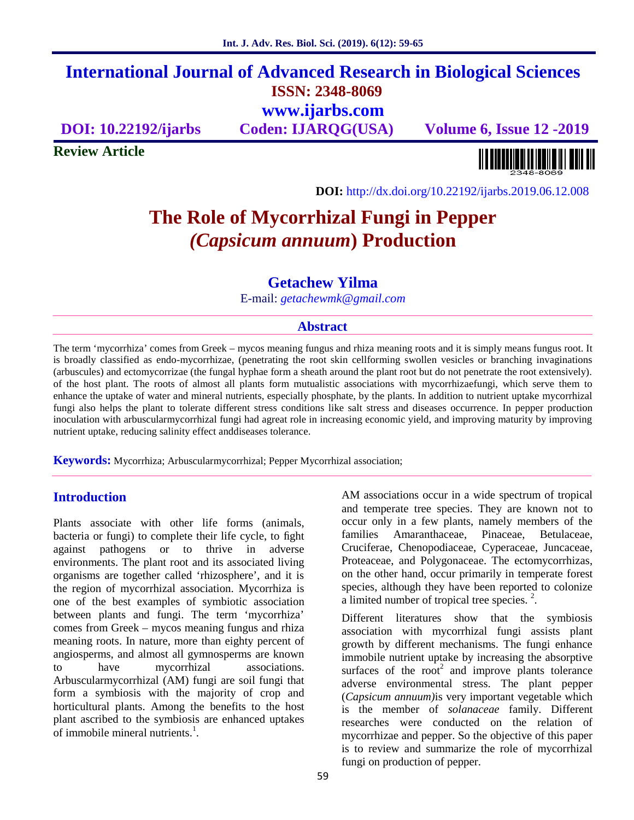## **International Journal of Advanced Research in Biological Sciences ISSN: 2348-8069 www.ijarbs.com**

**DOI: 10.22192/ijarbs Coden: IJARQG(USA) Volume 6, Issue 12 -2019**

**Review Article**

**DOI:** http://dx.doi.org/10.22192/ijarbs.2019.06.12.008

# **The Role of Mycorrhizal Fungi in Pepper** *(Capsicum annuum***) Production**

## **Getachew Yilma**

E-mail: *getachewmk@gmail.com*

## **Abstract**

The term 'mycorrhiza' comes from Greek – mycos meaning fungus and rhiza meaning roots and it is simply means fungus root. It is broadly classified as endo-mycorrhizae, (penetrating the root skin cellforming swollen vesicles or branching invaginations (arbuscules) and ectomycorrizae (the fungal hyphae form a sheath around the plant root but do not penetrate the root extensively). of the host plant. The roots of almost all plants form mutualistic associations with mycorrhizaefungi, which serve them to enhance the uptake of water and mineral nutrients, especially phosphate, by the plants. In addition to nutrient uptake mycorrhizal fungi also helps the plant to tolerate different stress conditions like salt stress and diseases occurrence. In pepper production inoculation with arbuscularmycorrhizal fungi had agreat role in increasing economic yield, and improving maturity by improving nutrient uptake, reducing salinity effect anddiseases tolerance.

**Keywords:** Mycorrhiza; Arbuscularmycorrhizal; Pepper Mycorrhizal association;

## **Introduction**

Plants associate with other life forms (animals, bacteria or fungi) to complete their life cycle, to fight against pathogens or to thrive in adverse environments. The plant root and its associated living organisms are together called 'rhizosphere', and it is the region of mycorrhizal association. Mycorrhiza is one of the best examples of symbiotic association between plants and fungi. The term 'mycorrhiza' comes from Greek – mycos meaning fungus and rhiza meaning roots. In nature, more than eighty percent of angiosperms, and almost all gymnosperms are known to have mycorrhizal associations. Arbuscularmycorrhizal (AM) fungi are soil fungi that form a symbiosis with the majority of crop and horticultural plants. Among the benefits to the host plant ascribed to the symbiosis are enhanced uptakes of immobile mineral nutrients. $<sup>1</sup>$ .</sup>

AM associations occur in a wide spectrum of tropical and temperate tree species. They are known not to occur only in a few plants, namely members of the families Amaranthaceae, Pinaceae, Betulaceae, Cruciferae, Chenopodiaceae, Cyperaceae, Juncaceae, Proteaceae, and Polygonaceae. The ectomycorrhizas, on the other hand, occur primarily in temperate forest species, although they have been reported to colonize a limited number of tropical tree species.<sup>2</sup>.

Different literatures show that the symbiosis association with mycorrhizal fungi assists plant growth by different mechanisms. The fungi enhance immobile nutrient uptake by increasing the absorptive surfaces of the root<sup>2</sup> and improve plants tolerance adverse environmental stress. The plant pepper (*Capsicum annuum)*is very important vegetable which is the member of *solanaceae* family. Different researches were conducted on the relation of mycorrhizae and pepper. So the objective of this paper is to review and summarize the role of mycorrhizal fungi on production of pepper.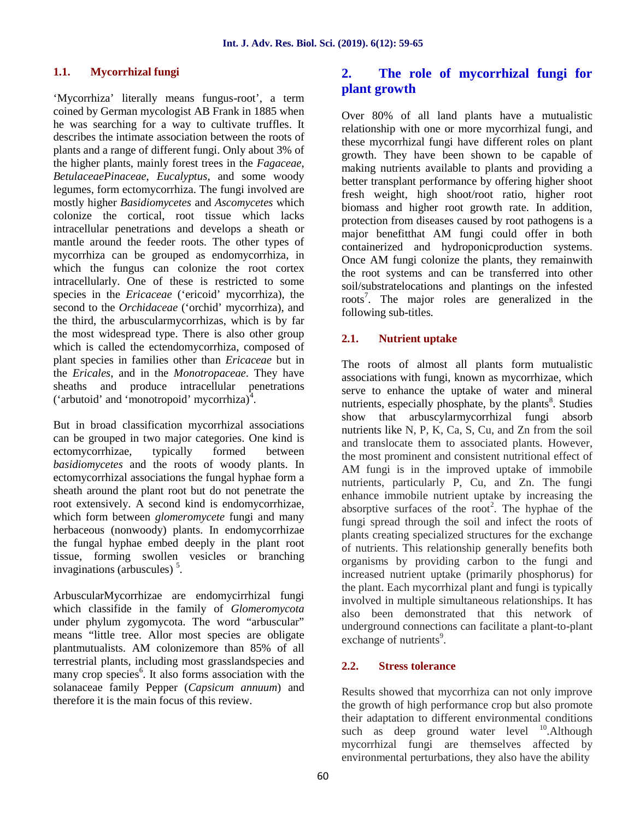#### **1.1. Mycorrhizal fungi**

'Mycorrhiza' literally means fungus-root', a term coined by German mycologist AB Frank in 1885 when he was searching for a way to cultivate truffles. It describes the intimate association between the roots of plants and a range of different fungi. Only about 3% of the higher plants, mainly forest trees in the *Fagaceae*, *BetulaceaePinaceae*, *Eucalyptus*, and some woody legumes, form ectomycorrhiza. The fungi involved are mostly higher *Basidiomycetes* and *Ascomycetes* which colonize the cortical, root tissue which lacks intracellular penetrations and develops a sheath or mantle around the feeder roots. The other types of mycorrhiza can be grouped as endomycorrhiza, in which the fungus can colonize the root cortex intracellularly. One of these is restricted to some species in the *Ericaceae* ('ericoid' mycorrhiza), the second to the *Orchidaceae* ('orchid' mycorrhiza), and the third, the arbuscularmycorrhizas, which is by far the most widespread type. There is also other group 2.1. which is called the ectendomycorrhiza, composed of plant species in families other than *Ericaceae* but in the *Ericales*, and in the *Monotropaceae*. They have sheaths and produce intracellular penetrations ('arbutoid' and 'monotropoid' mycorrhiza) $^4$ .

But in broad classification mycorrhizal associations can be grouped in two major categories. One kind is ectomycorrhizae, typically formed between *basidiomycetes* and the roots of woody plants. In ectomycorrhizal associations the fungal hyphae form a sheath around the plant root but do not penetrate the root extensively. A second kind is endomycorrhizae, which form between *glomeromycete* fungi and many herbaceous (nonwoody) plants. In endomycorrhizae the fungal hyphae embed deeply in the plant root tissue, forming swollen vesicles or branching invaginations (arbuscules)<sup>5</sup>.

ArbuscularMycorrhizae are endomycirrhizal fungi which classifide in the family of *Glomeromycota* under phylum zygomycota. The word "arbuscular" means "little tree. Allor most species are obligate plantmutualists. AM colonizemore than 85% of all terrestrial plants, including most grasslandspecies and many crop species<sup>6</sup>. It also forms association with the solanaceae family Pepper (*Capsicum annuum*) and therefore it is the main focus of this review.

## **2. The role of mycorrhizal fungi for plant growth**

Over 80% of all land plants have a mutualistic relationship with one or more mycorrhizal fungi, and these mycorrhizal fungi have different roles on plant growth. They have been shown to be capable of making nutrients available to plants and providing a better transplant performance by offering higher shoot fresh weight, high shoot/root ratio, higher root biomass and higher root growth rate. In addition, protection from diseases caused by root pathogens is a major benefitthat AM fungi could offer in both containerized and hydroponicproduction systems. Once AM fungi colonize the plants, they remainwith the root systems and can be transferred into other soil/substratelocations and plantings on the infested roots<sup>7</sup>. The major roles are generalized in the following sub-titles.

## **2.1. Nutrient uptake**

The roots of almost all plants form mutualistic associations with fungi, known as mycorrhizae, which serve to enhance the uptake of water and mineral nutrients, especially phosphate, by the plants<sup>8</sup>. Studies show that arbuscylarmycorrhizal fungi absorb nutrients like N, P, K, Ca, S, Cu, and Zn from the soil and translocate them to associated plants. However, the most prominent and consistent nutritional effect of AM fungi is in the improved uptake of immobile nutrients, particularly P, Cu, and Zn. The fungi enhance immobile nutrient uptake by increasing the absorptive surfaces of the root<sup>2</sup>. The hyphae of the fungi spread through the soil and infect the roots of plants creating specialized structures for the exchange of nutrients. This relationship generally benefits both organisms by providing carbon to the fungi and increased nutrient uptake (primarily phosphorus) for the plant. Each mycorrhizal plant and fungi is typically involved in multiple simultaneous relationships. It has also been demonstrated that this network of underground connections can facilitate a plant-to-plant exchange of nutrients<sup>9</sup>.

#### **2.2. Stress tolerance**

Results showed that mycorrhiza can not only improve the growth of high performance crop but also promote their adaptation to different environmental conditions such as deep ground water level  $10$ . Although mycorrhizal fungi are themselves affected by environmental perturbations, they also have the ability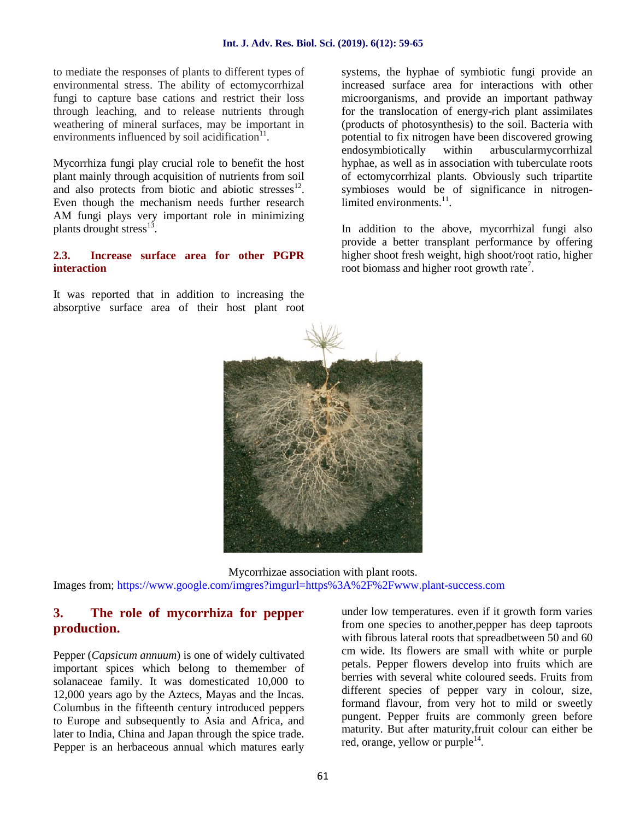to mediate the responses of plants to different types of environmental stress. The ability of ectomycorrhizal fungi to capture base cations and restrict their loss through leaching, and to release nutrients through weathering of mineral surfaces, may be important in environments influenced by soil acidification $11$ .

Mycorrhiza fungi play crucial role to benefit the host plant mainly through acquisition of nutrients from soil and also protects from biotic and abiotic stresses $^{12}$ . Even though the mechanism needs further research AM fungi plays very important role in minimizing plants drought stress $^{13}$ .

#### **2.3. Increase surface area for other PGPR interaction**

It was reported that in addition to increasing the absorptive surface area of their host plant root

systems, the hyphae of symbiotic fungi provide an increased surface area for interactions with other microorganisms, and provide an important pathway for the translocation of energy-rich plant assimilates (products of photosynthesis) to the soil. Bacteria with potential to fix nitrogen have been discovered growing endosymbiotically within arbuscularmycorrhizal hyphae, as well as in association with tuberculate roots of ectomycorrhizal plants. Obviously such tripartite symbioses would be of significance in nitrogenlimited environments.<sup>11</sup>.

In addition to the above, mycorrhizal fungi also provide a better transplant performance by offering higher shoot fresh weight, high shoot/root ratio, higher root biomass and higher root growth rate<sup>7</sup>.



Mycorrhizae association with plant roots. Images from; https://www.google.com/imgres?imgurl=https%3A%2F%2Fwww.plant-success.com

## **3. The role of mycorrhiza for pepper production.**

Pepper (*Capsicum annuum*) is one of widely cultivated important spices which belong to themember of solanaceae family. It was domesticated 10,000 to 12,000 years ago by the Aztecs, Mayas and the Incas. Columbus in the fifteenth century introduced peppers to Europe and subsequently to Asia and Africa, and later to India, China and Japan through the spice trade. Pepper is an herbaceous annual which matures early

under low temperatures. even if it growth form varies from one species to another,pepper has deep taproots with fibrous lateral roots that spreadbetween 50 and 60 cm wide. Its flowers are small with white or purple petals. Pepper flowers develop into fruits which are berries with several white coloured seeds. Fruits from different species of pepper vary in colour, size, formand flavour, from very hot to mild or sweetly pungent. Pepper fruits are commonly green before maturity. But after maturity,fruit colour can either be red, orange, yellow or purple<sup>14</sup>.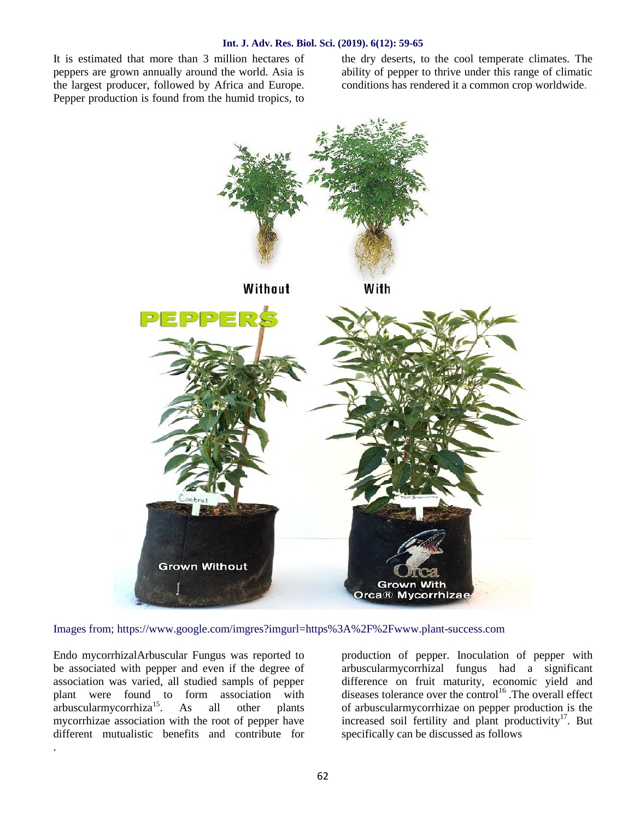It is estimated that more than 3 million hectares of peppers are grown annually around the world. Asia is the largest producer, followed by Africa and Europe. Pepper production is found from the humid tropics, to the dry deserts, to the cool temperate climates. The ability of pepper to thrive under this range of climatic conditions has rendered it a common crop worldwide.



Images from; https://www.google.com/imgres?imgurl=https%3A%2F%2Fwww.plant-success.com

Endo mycorrhizalArbuscular Fungus was reported to be associated with pepper and even if the degree of association was varied, all studied sampls of pepper plant were found to form association with  $arbuscularmvcorrhiza<sup>15</sup>$ . As all other plants mycorrhizae association with the root of pepper have different mutualistic benefits and contribute for

.

production of pepper. Inoculation of pepper with arbuscularmycorrhizal fungus had a significant difference on fruit maturity, economic yield and diseases tolerance over the control<sup>16</sup>. The overall effect of arbuscularmycorrhizae on pepper production is the increased soil fertility and plant productivity<sup>17</sup>. But specifically can be discussed as follows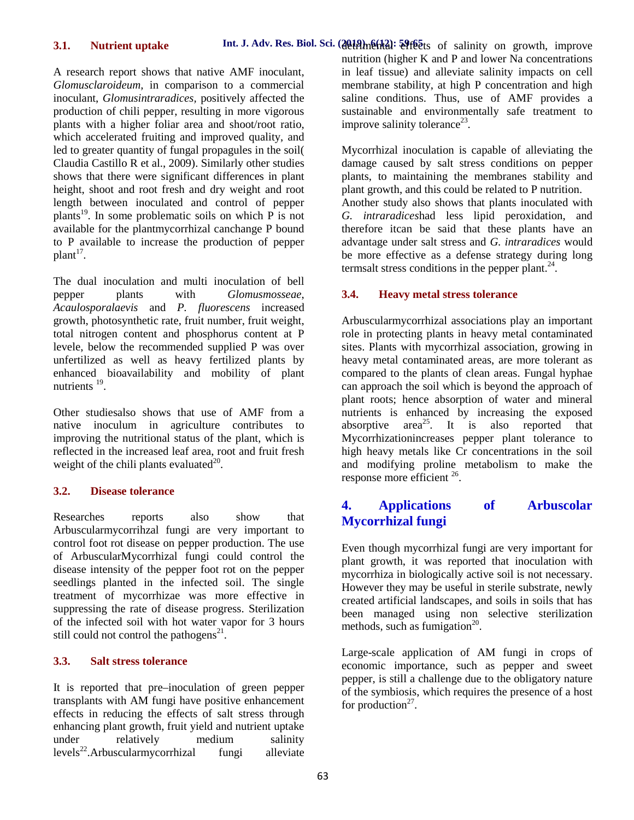#### **3.1. Nutrient uptake**

A research report shows that native AMF inoculant, *Glomusclaroideum,* in comparison to a commercial inoculant, *Glomusintraradices,* positively affected the production of chili pepper, resulting in more vigorous plants with a higher foliar area and shoot/root ratio, which accelerated fruiting and improved quality, and led to greater quantity of fungal propagules in the soil( Claudia Castillo R et al., 2009). Similarly other studies shows that there were significant differences in plant height, shoot and root fresh and dry weight and root length between inoculated and control of pepper plants<sup>19</sup>. In some problematic soils on which  $\overline{P}$  is not available for the plantmycorrhizal canchange P bound to P available to increase the production of pepper  $plant^{\frac{17}{}}$ .

The dual inoculation and multi inoculation of bell pepper plants with *Glomusmosseae*, *Acaulosporalaevis* and *P. fluorescens* increased growth, photosynthetic rate, fruit number, fruit weight, total nitrogen content and phosphorus content at P levele, below the recommended supplied P was over unfertilized as well as heavy fertilized plants by enhanced bioavailability and mobility of plant nutrients <sup>19</sup>.

Other studiesalso shows that use of AMF from a native inoculum in agriculture contributes to improving the nutritional status of the plant, which is reflected in the increased leaf area, root and fruit fresh weight of the chili plants evaluated $^{20}$ .

#### **3.2. Disease tolerance**

Researches reports also show that Arbuscularmycorrihzal fungi are very important to control foot rot disease on pepper production. The use of ArbuscularMycorrhizal fungi could control the disease intensity of the pepper foot rot on the pepper seedlings planted in the infected soil. The single treatment of mycorrhizae was more effective in suppressing the rate of disease progress. Sterilization of the infected soil with hot water vapor for 3 hours still could not control the pathogens<sup>21</sup>.

## **3.3. Salt stress tolerance**

It is reported that pre–inoculation of green pepper transplants with AM fungi have positive enhancement effects in reducing the effects of salt stress through enhancing plant growth, fruit yield and nutrient uptake under relatively medium salinity  $levels^{22}$ .Arbuscularmycorrhizal fungi alleviate nutrition (higher K and P and lower Na concentrations in leaf tissue) and alleviate salinity impacts on cell membrane stability, at high P concentration and high saline conditions. Thus, use of AMF provides a sustainable and environmentally safe treatment to improve salinity tolerance<sup>23</sup>.

Mycorrhizal inoculation is capable of alleviating the damage caused by salt stress conditions on pepper plants, to maintaining the membranes stability and plant growth, and this could be related to P nutrition. Another study also shows that plants inoculated with *G. intraradices*had less lipid peroxidation, and therefore itcan be said that these plants have an advantage under salt stress and *G. intraradices* would be more effective as a defense strategy during long termsalt stress conditions in the pepper plant. $24$ .

#### **3.4. Heavy metal stress tolerance**

Arbuscularmycorrhizal associations play an important role in protecting plants in heavy metal contaminated sites. Plants with mycorrhizal association, growing in heavy metal contaminated areas, are more tolerant as compared to the plants of clean areas. Fungal hyphae can approach the soil which is beyond the approach of plant roots; hence absorption of water and mineral nutrients is enhanced by increasing the exposed absorptive area<sup>25</sup>. It is also reported that Mycorrhizationincreases pepper plant tolerance to high heavy metals like Cr concentrations in the soil and modifying proline metabolism to make the response more efficient <sup>26</sup>.

## **4. Applications of Arbuscolar Mycorrhizal fungi**

Even though mycorrhizal fungi are very important for plant growth, it was reported that inoculation with mycorrhiza in biologically active soil is not necessary. However they may be useful in sterile substrate, newly created artificial landscapes, and soils in soils that has been managed using non selective sterilization methods, such as fumigation $^{20}$ .

Large-scale application of AM fungi in crops of economic importance, such as pepper and sweet pepper, is still a challenge due to the obligatory nature of the symbiosis, which requires the presence of a host for production<sup>27</sup>.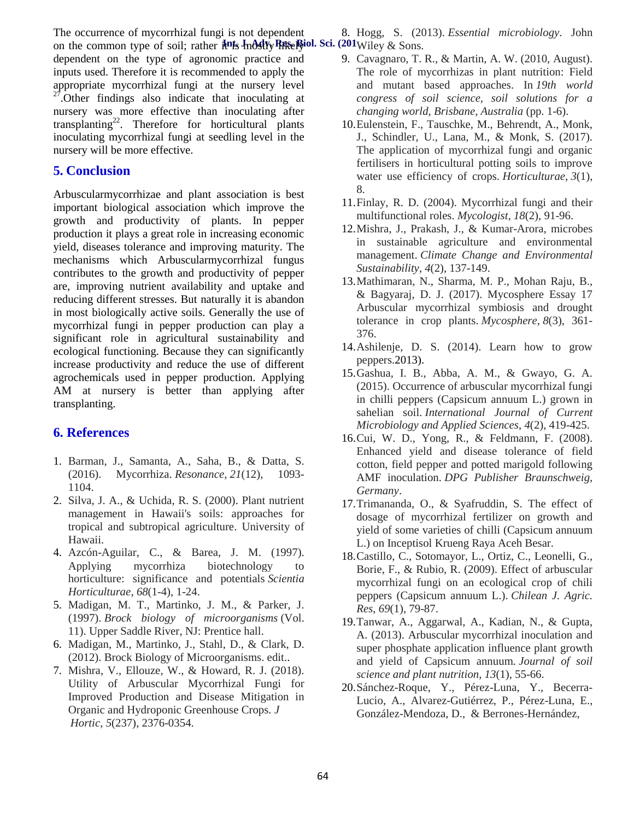The occurrence of mycorrhizal fungi is not dependent

8. Hogg, S. (2013). *Essential microbiology*. John

on the common type of soil; rather  $\frac{1}{2}$  **Fixelly Rike Biol.** Sci. (201Wiley & Sons. dependent on the type of agronomic practice and inputs used. Therefore it is recommended to apply the appropriate mycorrhizal fungi at the nursery level  $27$ . Other findings also indicate that inoculating at nursery was more effective than inoculating after transplanting<sup>22</sup>. Therefore for horticultural plants inoculating mycorrhizal fungi at seedling level in the nursery will be more effective.

## **5. Conclusion**

Arbuscularmycorrhizae and plant association is best important biological association which improve the growth and productivity of plants. In pepper production it plays a great role in increasing economic yield, diseases tolerance and improving maturity. The mechanisms which Arbuscularmycorrhizal fungus contributes to the growth and productivity of pepper are, improving nutrient availability and uptake and reducing different stresses. But naturally it is abandon in most biologically active soils. Generally the use of mycorrhizal fungi in pepper production can play a significant role in agricultural sustainability and ecological functioning. Because they can significantly increase productivity and reduce the use of different agrochemicals used in pepper production. Applying AM at nursery is better than applying after transplanting.

## **6. References**

- 1. Barman, J., Samanta, A., Saha, B., & Datta, S. (2016). Mycorrhiza. *Resonance*, *21*(12), 1093- 1104.
- 2. Silva, J. A., & Uchida, R. S. (2000). Plant nutrient management in Hawaii's soils: approaches for tropical and subtropical agriculture. University of Hawaii.
- 4. Azcón-Aguilar, C., & Barea, J. M. (1997). Applying mycorrhiza biotechnology to horticulture: significance and potentials *Scientia Horticulturae*, *68*(1-4), 1-24.
- 5. Madigan, M. T., Martinko, J. M., & Parker, J. (1997). *Brock biology of microorganisms* (Vol. 11). Upper Saddle River, NJ: Prentice hall.
- 6. Madigan, M., Martinko, J., Stahl, D., & Clark, D. (2012). Brock Biology of Microorganisms. edit..
- 7. Mishra, V., Ellouze, W., & Howard, R. J. (2018). Utility of Arbuscular Mycorrhizal Fungi for Improved Production and Disease Mitigation in Organic and Hydroponic Greenhouse Crops. *J Hortic*, *5*(237), 2376-0354.
- 9. Cavagnaro, T. R., & Martin, A. W. (2010, August). The role of mycorrhizas in plant nutrition: Field and mutant based approaches. In *19th world congress of soil science, soil solutions for a changing world, Brisbane, Australia* (pp. 1-6).
- 10.Eulenstein, F., Tauschke, M., Behrendt, A., Monk, J., Schindler, U., Lana, M., & Monk, S. (2017). The application of mycorrhizal fungi and organic fertilisers in horticultural potting soils to improve water use efficiency of crops. *Horticulturae*, *3*(1), 8.
- 11.Finlay, R. D. (2004). Mycorrhizal fungi and their multifunctional roles. *Mycologist*, *18*(2), 91-96.
- 12.Mishra, J., Prakash, J., & Kumar-Arora, microbes in sustainable agriculture and environmental management. *Climate Change and Environmental Sustainability*, *4*(2), 137-149.
- 13.Mathimaran, N., Sharma, M. P., Mohan Raju, B., & Bagyaraj, D. J. (2017). Mycosphere Essay 17 Arbuscular mycorrhizal symbiosis and drought tolerance in crop plants. *Mycosphere*, *8*(3), 361- 376.
- 14.Ashilenje, D. S. (2014). Learn how to grow peppers.2013).
- 15.Gashua, I. B., Abba, A. M., & Gwayo, G. A. (2015). Occurrence of arbuscular mycorrhizal fungi in chilli peppers (Capsicum annuum L.) grown in sahelian soil. *International Journal of Current Microbiology and Applied Sciences*, *4*(2), 419-425.
- 16.Cui, W. D., Yong, R., & Feldmann, F. (2008). Enhanced yield and disease tolerance of field cotton, field pepper and potted marigold following AMF inoculation. *DPG Publisher Braunschweig, Germany*.
- 17.Trimananda, O., & Syafruddin, S. The effect of dosage of mycorrhizal fertilizer on growth and yield of some varieties of chilli (Capsicum annuum L.) on Inceptisol Krueng Raya Aceh Besar.
- 18.Castillo, C., Sotomayor, L., Ortiz, C., Leonelli, G., Borie, F., & Rubio, R. (2009). Effect of arbuscular mycorrhizal fungi on an ecological crop of chili peppers (Capsicum annuum L.). *Chilean J. Agric. Res*, *69*(1), 79-87.
- 19.Tanwar, A., Aggarwal, A., Kadian, N., & Gupta, A. (2013). Arbuscular mycorrhizal inoculation and super phosphate application influence plant growth and yield of Capsicum annuum. *Journal of soil science and plant nutrition*, *13*(1), 55-66.
- 20.Sánchez-Roque, Y., Pérez-Luna, Y., Becerra- Lucio, A., Alvarez-Gutiérrez, P., Pérez-Luna, E., González-Mendoza, D., & Berrones-Hernández,